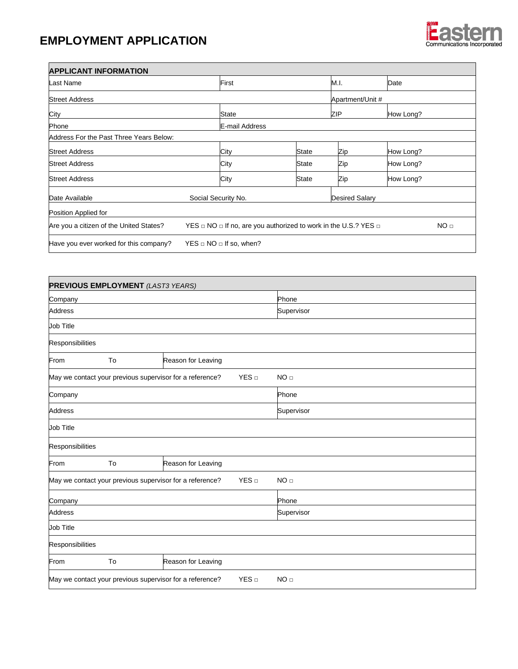## **EMPLOYMENT APPLICATION**

 $\blacksquare$ 



| <b>APPLICANT INFORMATION</b>            |                                                                                                   |       |                       |           |  |  |
|-----------------------------------------|---------------------------------------------------------------------------------------------------|-------|-----------------------|-----------|--|--|
| Last Name                               | First                                                                                             |       |                       | Date      |  |  |
| <b>Street Address</b>                   |                                                                                                   |       | Apartment/Unit #      |           |  |  |
| City                                    | State                                                                                             |       |                       | How Long? |  |  |
| Phone                                   | E-mail Address                                                                                    |       |                       |           |  |  |
| Address For the Past Three Years Below: |                                                                                                   |       |                       |           |  |  |
| <b>Street Address</b>                   | City                                                                                              | State | Zip                   | How Long? |  |  |
| <b>Street Address</b>                   | City                                                                                              | State | Zip                   | How Long? |  |  |
| <b>Street Address</b>                   | City                                                                                              | State | Zip                   | How Long? |  |  |
| Date Available                          | Social Security No.                                                                               |       | <b>Desired Salary</b> |           |  |  |
| Position Applied for                    |                                                                                                   |       |                       |           |  |  |
| Are you a citizen of the United States? | YES $\Box$ NO $\Box$ If no, are you authorized to work in the U.S.? YES $\Box$<br>NO <sub>□</sub> |       |                       |           |  |  |
| Have you ever worked for this company?  | $YES \square NO \square$ If so, when?                                                             |       |                       |           |  |  |

| <b>PREVIOUS EMPLOYMENT</b> (LAST3 YEARS)                                                        |    |                                                          |       |                 |  |  |
|-------------------------------------------------------------------------------------------------|----|----------------------------------------------------------|-------|-----------------|--|--|
| Company                                                                                         |    |                                                          | Phone |                 |  |  |
| <b>Address</b>                                                                                  |    |                                                          |       | Supervisor      |  |  |
| <b>Job Title</b>                                                                                |    |                                                          |       |                 |  |  |
| Responsibilities                                                                                |    |                                                          |       |                 |  |  |
| From                                                                                            | To | Reason for Leaving                                       |       |                 |  |  |
|                                                                                                 |    | May we contact your previous supervisor for a reference? | YES   | NO <sub>□</sub> |  |  |
| Company                                                                                         |    |                                                          |       | Phone           |  |  |
| Address                                                                                         |    |                                                          |       | Supervisor      |  |  |
| <b>Job Title</b>                                                                                |    |                                                          |       |                 |  |  |
| Responsibilities                                                                                |    |                                                          |       |                 |  |  |
| From                                                                                            | To | Reason for Leaving                                       |       |                 |  |  |
| YES<br>May we contact your previous supervisor for a reference?                                 |    |                                                          |       | NO <sub>□</sub> |  |  |
| Company                                                                                         |    |                                                          |       | Phone           |  |  |
| <b>Address</b>                                                                                  |    |                                                          |       | Supervisor      |  |  |
| <b>Job Title</b>                                                                                |    |                                                          |       |                 |  |  |
| Responsibilities                                                                                |    |                                                          |       |                 |  |  |
| From                                                                                            | To | Reason for Leaving                                       |       |                 |  |  |
| YES <sub>□</sub><br>May we contact your previous supervisor for a reference?<br>NO <sub>□</sub> |    |                                                          |       |                 |  |  |